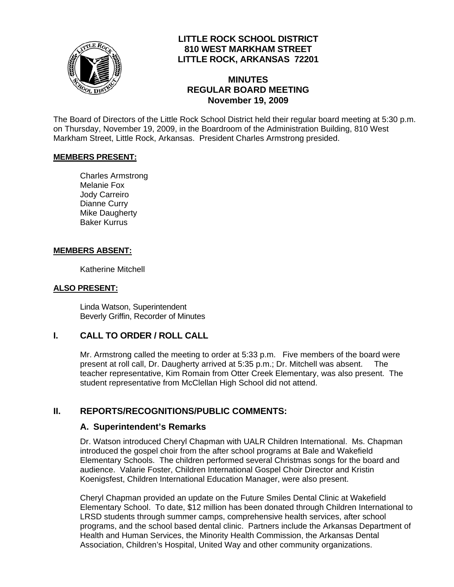

## **LITTLE ROCK SCHOOL DISTRICT 810 WEST MARKHAM STREET LITTLE ROCK, ARKANSAS 72201**

### **MINUTES REGULAR BOARD MEETING November 19, 2009**

The Board of Directors of the Little Rock School District held their regular board meeting at 5:30 p.m. on Thursday, November 19, 2009, in the Boardroom of the Administration Building, 810 West Markham Street, Little Rock, Arkansas. President Charles Armstrong presided.

#### **MEMBERS PRESENT:**

Charles Armstrong Melanie Fox Jody Carreiro Dianne Curry Mike Daugherty Baker Kurrus

#### **MEMBERS ABSENT:**

Katherine Mitchell

#### **ALSO PRESENT:**

 Linda Watson, Superintendent Beverly Griffin, Recorder of Minutes

#### **I. CALL TO ORDER / ROLL CALL**

Mr. Armstrong called the meeting to order at 5:33 p.m. Five members of the board were present at roll call, Dr. Daugherty arrived at 5:35 p.m.; Dr. Mitchell was absent. The teacher representative, Kim Romain from Otter Creek Elementary, was also present. The student representative from McClellan High School did not attend.

#### **II. REPORTS/RECOGNITIONS/PUBLIC COMMENTS:**

#### **A. Superintendent's Remarks**

Dr. Watson introduced Cheryl Chapman with UALR Children International. Ms. Chapman introduced the gospel choir from the after school programs at Bale and Wakefield Elementary Schools. The children performed several Christmas songs for the board and audience. Valarie Foster, Children International Gospel Choir Director and Kristin Koenigsfest, Children International Education Manager, were also present.

Cheryl Chapman provided an update on the Future Smiles Dental Clinic at Wakefield Elementary School. To date, \$12 million has been donated through Children International to LRSD students through summer camps, comprehensive health services, after school programs, and the school based dental clinic. Partners include the Arkansas Department of Health and Human Services, the Minority Health Commission, the Arkansas Dental Association, Children's Hospital, United Way and other community organizations.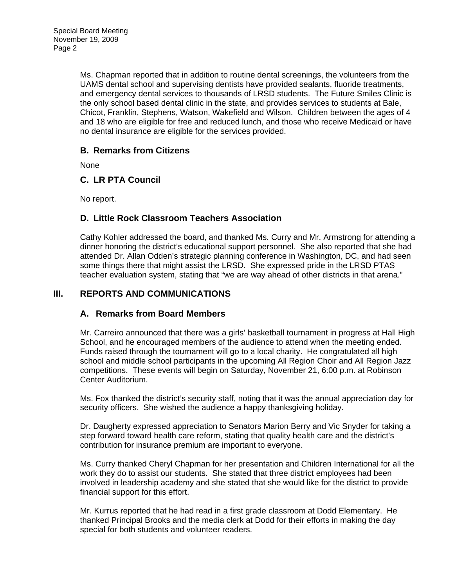Ms. Chapman reported that in addition to routine dental screenings, the volunteers from the UAMS dental school and supervising dentists have provided sealants, fluoride treatments, and emergency dental services to thousands of LRSD students. The Future Smiles Clinic is the only school based dental clinic in the state, and provides services to students at Bale, Chicot, Franklin, Stephens, Watson, Wakefield and Wilson. Children between the ages of 4 and 18 who are eligible for free and reduced lunch, and those who receive Medicaid or have no dental insurance are eligible for the services provided.

## **B. Remarks from Citizens**

None

## **C. LR PTA Council**

No report.

## **D. Little Rock Classroom Teachers Association**

Cathy Kohler addressed the board, and thanked Ms. Curry and Mr. Armstrong for attending a dinner honoring the district's educational support personnel. She also reported that she had attended Dr. Allan Odden's strategic planning conference in Washington, DC, and had seen some things there that might assist the LRSD. She expressed pride in the LRSD PTAS teacher evaluation system, stating that "we are way ahead of other districts in that arena."

## **III. REPORTS AND COMMUNICATIONS**

#### **A. Remarks from Board Members**

Mr. Carreiro announced that there was a girls' basketball tournament in progress at Hall High School, and he encouraged members of the audience to attend when the meeting ended. Funds raised through the tournament will go to a local charity. He congratulated all high school and middle school participants in the upcoming All Region Choir and All Region Jazz competitions. These events will begin on Saturday, November 21, 6:00 p.m. at Robinson Center Auditorium.

Ms. Fox thanked the district's security staff, noting that it was the annual appreciation day for security officers. She wished the audience a happy thanksgiving holiday.

Dr. Daugherty expressed appreciation to Senators Marion Berry and Vic Snyder for taking a step forward toward health care reform, stating that quality health care and the district's contribution for insurance premium are important to everyone.

Ms. Curry thanked Cheryl Chapman for her presentation and Children International for all the work they do to assist our students. She stated that three district employees had been involved in leadership academy and she stated that she would like for the district to provide financial support for this effort.

Mr. Kurrus reported that he had read in a first grade classroom at Dodd Elementary. He thanked Principal Brooks and the media clerk at Dodd for their efforts in making the day special for both students and volunteer readers.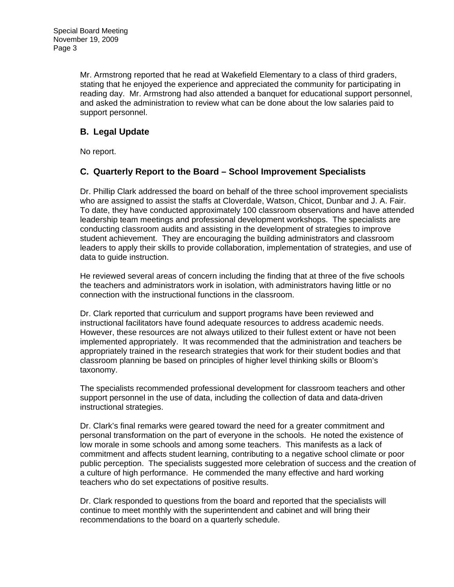Mr. Armstrong reported that he read at Wakefield Elementary to a class of third graders, stating that he enjoyed the experience and appreciated the community for participating in reading day. Mr. Armstrong had also attended a banquet for educational support personnel, and asked the administration to review what can be done about the low salaries paid to support personnel.

# **B. Legal Update**

No report.

## **C. Quarterly Report to the Board – School Improvement Specialists**

Dr. Phillip Clark addressed the board on behalf of the three school improvement specialists who are assigned to assist the staffs at Cloverdale, Watson, Chicot, Dunbar and J. A. Fair. To date, they have conducted approximately 100 classroom observations and have attended leadership team meetings and professional development workshops. The specialists are conducting classroom audits and assisting in the development of strategies to improve student achievement. They are encouraging the building administrators and classroom leaders to apply their skills to provide collaboration, implementation of strategies, and use of data to guide instruction.

He reviewed several areas of concern including the finding that at three of the five schools the teachers and administrators work in isolation, with administrators having little or no connection with the instructional functions in the classroom.

Dr. Clark reported that curriculum and support programs have been reviewed and instructional facilitators have found adequate resources to address academic needs. However, these resources are not always utilized to their fullest extent or have not been implemented appropriately. It was recommended that the administration and teachers be appropriately trained in the research strategies that work for their student bodies and that classroom planning be based on principles of higher level thinking skills or Bloom's taxonomy.

The specialists recommended professional development for classroom teachers and other support personnel in the use of data, including the collection of data and data-driven instructional strategies.

Dr. Clark's final remarks were geared toward the need for a greater commitment and personal transformation on the part of everyone in the schools. He noted the existence of low morale in some schools and among some teachers. This manifests as a lack of commitment and affects student learning, contributing to a negative school climate or poor public perception. The specialists suggested more celebration of success and the creation of a culture of high performance. He commended the many effective and hard working teachers who do set expectations of positive results.

Dr. Clark responded to questions from the board and reported that the specialists will continue to meet monthly with the superintendent and cabinet and will bring their recommendations to the board on a quarterly schedule.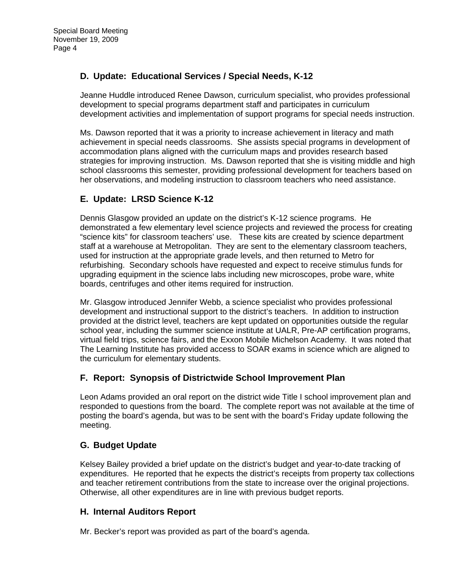# **D. Update: Educational Services / Special Needs, K-12**

Jeanne Huddle introduced Renee Dawson, curriculum specialist, who provides professional development to special programs department staff and participates in curriculum development activities and implementation of support programs for special needs instruction.

Ms. Dawson reported that it was a priority to increase achievement in literacy and math achievement in special needs classrooms. She assists special programs in development of accommodation plans aligned with the curriculum maps and provides research based strategies for improving instruction. Ms. Dawson reported that she is visiting middle and high school classrooms this semester, providing professional development for teachers based on her observations, and modeling instruction to classroom teachers who need assistance.

# **E. Update: LRSD Science K-12**

Dennis Glasgow provided an update on the district's K-12 science programs. He demonstrated a few elementary level science projects and reviewed the process for creating "science kits" for classroom teachers' use. These kits are created by science department staff at a warehouse at Metropolitan. They are sent to the elementary classroom teachers, used for instruction at the appropriate grade levels, and then returned to Metro for refurbishing. Secondary schools have requested and expect to receive stimulus funds for upgrading equipment in the science labs including new microscopes, probe ware, white boards, centrifuges and other items required for instruction.

Mr. Glasgow introduced Jennifer Webb, a science specialist who provides professional development and instructional support to the district's teachers. In addition to instruction provided at the district level, teachers are kept updated on opportunities outside the regular school year, including the summer science institute at UALR, Pre-AP certification programs, virtual field trips, science fairs, and the Exxon Mobile Michelson Academy. It was noted that The Learning Institute has provided access to SOAR exams in science which are aligned to the curriculum for elementary students.

## **F. Report: Synopsis of Districtwide School Improvement Plan**

Leon Adams provided an oral report on the district wide Title I school improvement plan and responded to questions from the board. The complete report was not available at the time of posting the board's agenda, but was to be sent with the board's Friday update following the meeting.

## **G. Budget Update**

Kelsey Bailey provided a brief update on the district's budget and year-to-date tracking of expenditures. He reported that he expects the district's receipts from property tax collections and teacher retirement contributions from the state to increase over the original projections. Otherwise, all other expenditures are in line with previous budget reports.

#### **H. Internal Auditors Report**

Mr. Becker's report was provided as part of the board's agenda.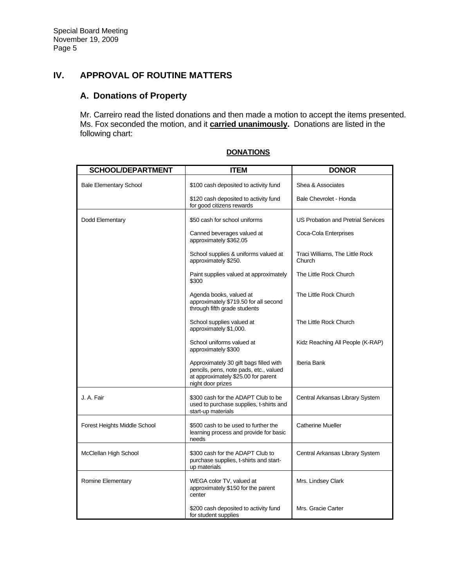# **IV. APPROVAL OF ROUTINE MATTERS**

# **A. Donations of Property**

Mr. Carreiro read the listed donations and then made a motion to accept the items presented. Ms. Fox seconded the motion, and it **carried unanimously.** Donations are listed in the following chart:

| <b>SCHOOL/DEPARTMENT</b>      | <b>ITEM</b>                                                                                                                                  | <b>DONOR</b>                              |
|-------------------------------|----------------------------------------------------------------------------------------------------------------------------------------------|-------------------------------------------|
| <b>Bale Elementary School</b> | \$100 cash deposited to activity fund                                                                                                        | Shea & Associates                         |
|                               | \$120 cash deposited to activity fund<br>for good citizens rewards                                                                           | Bale Chevrolet - Honda                    |
| Dodd Elementary               | \$50 cash for school uniforms                                                                                                                | <b>US Probation and Pretrial Services</b> |
|                               | Canned beverages valued at<br>approximately \$362.05                                                                                         | Coca-Cola Enterprises                     |
|                               | School supplies & uniforms valued at<br>approximately \$250.                                                                                 | Traci Williams, The Little Rock<br>Church |
|                               | Paint supplies valued at approximately<br>\$300                                                                                              | The Little Rock Church                    |
|                               | Agenda books, valued at<br>approximately \$719.50 for all second<br>through fifth grade students                                             | The Little Rock Church                    |
|                               | School supplies valued at<br>approximately \$1,000.                                                                                          | The Little Rock Church                    |
|                               | School uniforms valued at<br>approximately \$300                                                                                             | Kidz Reaching All People (K-RAP)          |
|                               | Approximately 30 gift bags filled with<br>pencils, pens, note pads, etc., valued<br>at approximately \$25.00 for parent<br>night door prizes | Iberia Bank                               |
| J. A. Fair                    | \$300 cash for the ADAPT Club to be<br>used to purchase supplies, t-shirts and<br>start-up materials                                         | Central Arkansas Library System           |
| Forest Heights Middle School  | \$500 cash to be used to further the<br>learning process and provide for basic<br>needs                                                      | <b>Catherine Mueller</b>                  |
| McClellan High School         | \$300 cash for the ADAPT Club to<br>purchase supplies, t-shirts and start-<br>up materials                                                   | Central Arkansas Library System           |
| Romine Elementary             | WEGA color TV, valued at<br>approximately \$150 for the parent<br>center                                                                     | Mrs. Lindsey Clark                        |
|                               | \$200 cash deposited to activity fund<br>for student supplies                                                                                | Mrs. Gracie Carter                        |

#### **DONATIONS**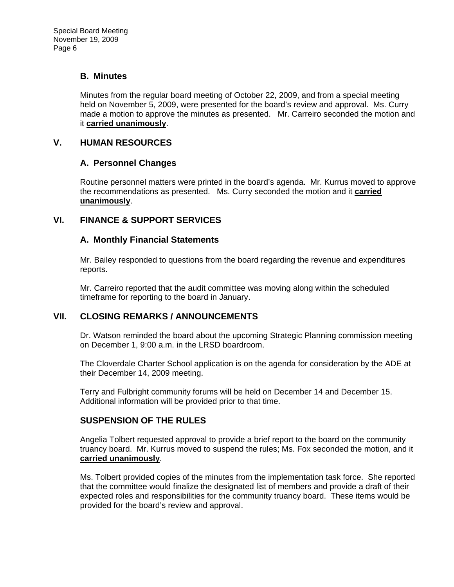#### **B. Minutes**

Minutes from the regular board meeting of October 22, 2009, and from a special meeting held on November 5, 2009, were presented for the board's review and approval. Ms. Curry made a motion to approve the minutes as presented. Mr. Carreiro seconded the motion and it **carried unanimously**.

### **V. HUMAN RESOURCES**

## **A. Personnel Changes**

Routine personnel matters were printed in the board's agenda. Mr. Kurrus moved to approve the recommendations as presented. Ms. Curry seconded the motion and it **carried unanimously**.

## **VI. FINANCE & SUPPORT SERVICES**

## **A. Monthly Financial Statements**

Mr. Bailey responded to questions from the board regarding the revenue and expenditures reports.

Mr. Carreiro reported that the audit committee was moving along within the scheduled timeframe for reporting to the board in January.

#### **VII. CLOSING REMARKS / ANNOUNCEMENTS**

Dr. Watson reminded the board about the upcoming Strategic Planning commission meeting on December 1, 9:00 a.m. in the LRSD boardroom.

The Cloverdale Charter School application is on the agenda for consideration by the ADE at their December 14, 2009 meeting.

Terry and Fulbright community forums will be held on December 14 and December 15. Additional information will be provided prior to that time.

## **SUSPENSION OF THE RULES**

Angelia Tolbert requested approval to provide a brief report to the board on the community truancy board. Mr. Kurrus moved to suspend the rules; Ms. Fox seconded the motion, and it **carried unanimously**.

Ms. Tolbert provided copies of the minutes from the implementation task force. She reported that the committee would finalize the designated list of members and provide a draft of their expected roles and responsibilities for the community truancy board. These items would be provided for the board's review and approval.